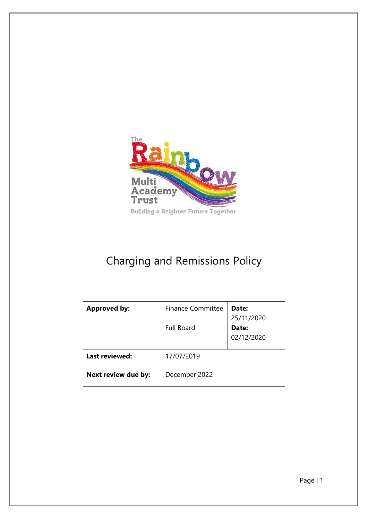

# Charging and Remissions Policy

| <b>Approved by:</b> | <b>Finance Committee</b><br><b>Full Board</b> | Date:<br>25/11/2020<br>Date:<br>02/12/2020 |
|---------------------|-----------------------------------------------|--------------------------------------------|
| Last reviewed:      | 17/07/2019                                    |                                            |
| Next review due by: | December 2022                                 |                                            |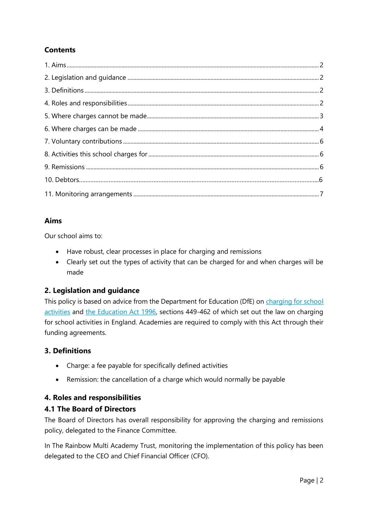# **Contents**

# **Aims**

Our school aims to:

- Have robust, clear processes in place for charging and remissions
- Clearly set out the types of activity that can be charged for and when charges will be made

# **2. Legislation and guidance**

This policy is based on advice from the Department for Education (DfE) on charging for school [activities](https://www.gov.uk/government/publications/charging-for-school-activities) and [the Education Act 1996,](http://www.legislation.gov.uk/ukpga/1996/56/part/VI/chapter/III) sections 449-462 of which set out the law on charging for school activities in England. Academies are required to comply with this Act through their funding agreements.

# **3. Definitions**

- Charge: a fee payable for specifically defined activities
- Remission: the cancellation of a charge which would normally be payable

# **4. Roles and responsibilities**

## **4.1 The Board of Directors**

The Board of Directors has overall responsibility for approving the charging and remissions policy, delegated to the Finance Committee.

In The Rainbow Multi Academy Trust, monitoring the implementation of this policy has been delegated to the CEO and Chief Financial Officer (CFO).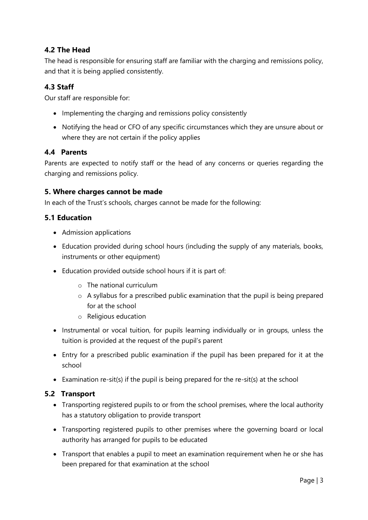# **4.2 The Head**

The head is responsible for ensuring staff are familiar with the charging and remissions policy, and that it is being applied consistently.

# **4.3 Staff**

Our staff are responsible for:

- Implementing the charging and remissions policy consistently
- Notifying the head or CFO of any specific circumstances which they are unsure about or where they are not certain if the policy applies

#### **4.4 Parents**

Parents are expected to notify staff or the head of any concerns or queries regarding the charging and remissions policy.

#### **5. Where charges cannot be made**

In each of the Trust's schools, charges cannot be made for the following:

## **5.1 Education**

- Admission applications
- Education provided during school hours (including the supply of any materials, books, instruments or other equipment)
- Education provided outside school hours if it is part of:
	- o The national curriculum
	- o A syllabus for a prescribed public examination that the pupil is being prepared for at the school
	- o Religious education
- Instrumental or vocal tuition, for pupils learning individually or in groups, unless the tuition is provided at the request of the pupil's parent
- Entry for a prescribed public examination if the pupil has been prepared for it at the school
- Examination re-sit(s) if the pupil is being prepared for the re-sit(s) at the school

## **5.2 Transport**

- Transporting registered pupils to or from the school premises, where the local authority has a statutory obligation to provide transport
- Transporting registered pupils to other premises where the governing board or local authority has arranged for pupils to be educated
- Transport that enables a pupil to meet an examination requirement when he or she has been prepared for that examination at the school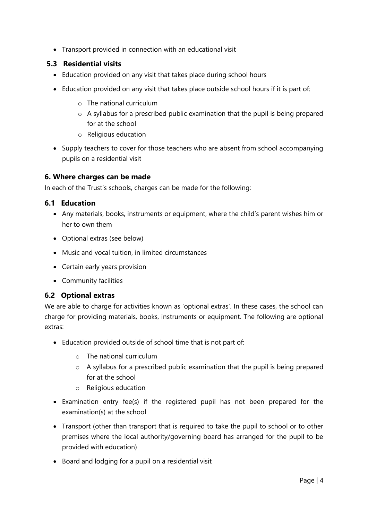Transport provided in connection with an educational visit

# **5.3 Residential visits**

- Education provided on any visit that takes place during school hours
- Education provided on any visit that takes place outside school hours if it is part of:
	- o The national curriculum
	- o A syllabus for a prescribed public examination that the pupil is being prepared for at the school
	- o Religious education
- Supply teachers to cover for those teachers who are absent from school accompanying pupils on a residential visit

## **6. Where charges can be made**

In each of the Trust's schools, charges can be made for the following:

## **6.1 Education**

- Any materials, books, instruments or equipment, where the child's parent wishes him or her to own them
- Optional extras (see below)
- Music and vocal tuition, in limited circumstances
- Certain early years provision
- Community facilities

## **6.2 Optional extras**

We are able to charge for activities known as 'optional extras'. In these cases, the school can charge for providing materials, books, instruments or equipment. The following are optional extras:

- Education provided outside of school time that is not part of:
	- o The national curriculum
	- o A syllabus for a prescribed public examination that the pupil is being prepared for at the school
	- o Religious education
- Examination entry fee(s) if the registered pupil has not been prepared for the examination(s) at the school
- Transport (other than transport that is required to take the pupil to school or to other premises where the local authority/governing board has arranged for the pupil to be provided with education)
- Board and lodging for a pupil on a residential visit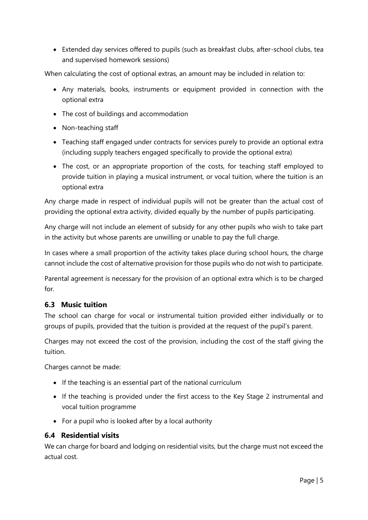Extended day services offered to pupils (such as breakfast clubs, after-school clubs, tea and supervised homework sessions)

When calculating the cost of optional extras, an amount may be included in relation to:

- Any materials, books, instruments or equipment provided in connection with the optional extra
- The cost of buildings and accommodation
- Non-teaching staff
- Teaching staff engaged under contracts for services purely to provide an optional extra (including supply teachers engaged specifically to provide the optional extra)
- The cost, or an appropriate proportion of the costs, for teaching staff employed to provide tuition in playing a musical instrument, or vocal tuition, where the tuition is an optional extra

Any charge made in respect of individual pupils will not be greater than the actual cost of providing the optional extra activity, divided equally by the number of pupils participating.

Any charge will not include an element of subsidy for any other pupils who wish to take part in the activity but whose parents are unwilling or unable to pay the full charge.

In cases where a small proportion of the activity takes place during school hours, the charge cannot include the cost of alternative provision for those pupils who do not wish to participate.

Parental agreement is necessary for the provision of an optional extra which is to be charged for.

#### **6.3 Music tuition**

The school can charge for vocal or instrumental tuition provided either individually or to groups of pupils, provided that the tuition is provided at the request of the pupil's parent.

Charges may not exceed the cost of the provision, including the cost of the staff giving the tuition.

Charges cannot be made:

- If the teaching is an essential part of the national curriculum
- If the teaching is provided under the first access to the Key Stage 2 instrumental and vocal tuition programme
- For a pupil who is looked after by a local authority

#### **6.4 Residential visits**

We can charge for board and lodging on residential visits, but the charge must not exceed the actual cost.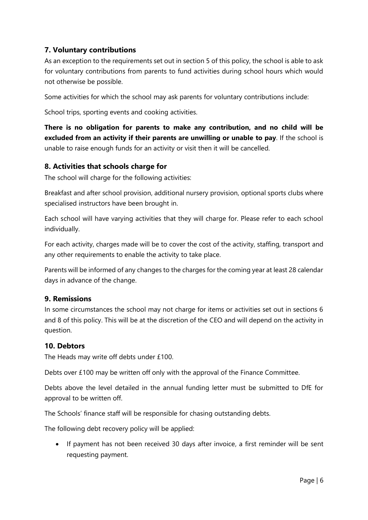# **7. Voluntary contributions**

As an exception to the requirements set out in section 5 of this policy, the school is able to ask for voluntary contributions from parents to fund activities during school hours which would not otherwise be possible.

Some activities for which the school may ask parents for voluntary contributions include:

School trips, sporting events and cooking activities.

**There is no obligation for parents to make any contribution, and no child will be excluded from an activity if their parents are unwilling or unable to pay**. If the school is unable to raise enough funds for an activity or visit then it will be cancelled.

## **8. Activities that schools charge for**

The school will charge for the following activities:

Breakfast and after school provision, additional nursery provision, optional sports clubs where specialised instructors have been brought in.

Each school will have varying activities that they will charge for. Please refer to each school individually.

For each activity, charges made will be to cover the cost of the activity, staffing, transport and any other requirements to enable the activity to take place.

Parents will be informed of any changes to the charges for the coming year at least 28 calendar days in advance of the change.

#### **9. Remissions**

In some circumstances the school may not charge for items or activities set out in sections 6 and 8 of this policy. This will be at the discretion of the CEO and will depend on the activity in question.

#### **10. Debtors**

The Heads may write off debts under £100.

Debts over £100 may be written off only with the approval of the Finance Committee.

Debts above the level detailed in the annual funding letter must be submitted to DfE for approval to be written off.

The Schools' finance staff will be responsible for chasing outstanding debts.

The following debt recovery policy will be applied:

• If payment has not been received 30 days after invoice, a first reminder will be sent requesting payment.